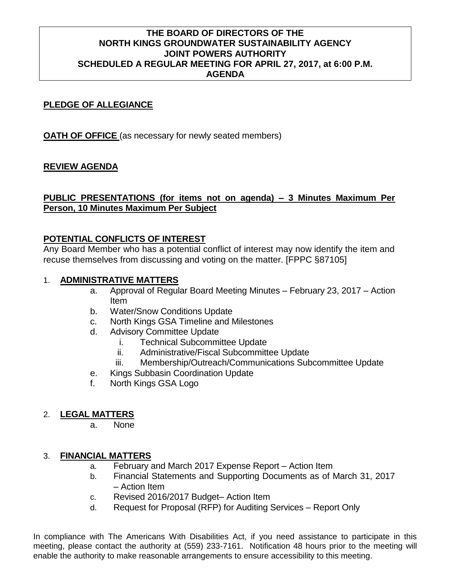# **THE BOARD OF DIRECTORS OF THE NORTH KINGS GROUNDWATER SUSTAINABILITY AGENCY JOINT POWERS AUTHORITY SCHEDULED A REGULAR MEETING FOR APRIL 27, 2017, at 6:00 P.M. AGENDA**

# **PLEDGE OF ALLEGIANCE**

**OATH OF OFFICE** (as necessary for newly seated members)

## **REVIEW AGENDA**

# **PUBLIC PRESENTATIONS (for items not on agenda) – 3 Minutes Maximum Per Person, 10 Minutes Maximum Per Subject**

## **POTENTIAL CONFLICTS OF INTEREST**

Any Board Member who has a potential conflict of interest may now identify the item and recuse themselves from discussing and voting on the matter. [FPPC §87105]

#### 1. **ADMINISTRATIVE MATTERS**

- a. Approval of Regular Board Meeting Minutes February 23, 2017 Action Item
- b. Water/Snow Conditions Update
- c. North Kings GSA Timeline and Milestones
- d. Advisory Committee Update
	- i. Technical Subcommittee Update
	- ii. Administrative/Fiscal Subcommittee Update
	- iii. Membership/Outreach/Communications Subcommittee Update
- e. Kings Subbasin Coordination Update
- f. North Kings GSA Logo

# 2. **LEGAL MATTERS**

a. None

#### 3. **FINANCIAL MATTERS**

- a. February and March 2017 Expense Report Action Item
- b. Financial Statements and Supporting Documents as of March 31, 2017 – Action Item
- c. Revised 2016/2017 Budget– Action Item
- d. Request for Proposal (RFP) for Auditing Services Report Only

In compliance with The Americans With Disabilities Act, if you need assistance to participate in this meeting, please contact the authority at (559) 233-7161. Notification 48 hours prior to the meeting will enable the authority to make reasonable arrangements to ensure accessibility to this meeting.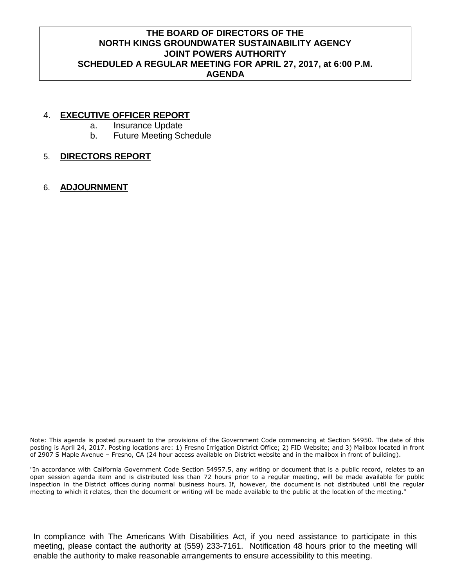# **THE BOARD OF DIRECTORS OF THE NORTH KINGS GROUNDWATER SUSTAINABILITY AGENCY JOINT POWERS AUTHORITY SCHEDULED A REGULAR MEETING FOR APRIL 27, 2017, at 6:00 P.M. AGENDA**

## 4. **EXECUTIVE OFFICER REPORT**

- a. Insurance Update
- b. Future Meeting Schedule

# 5. **DIRECTORS REPORT**

6. **ADJOURNMENT**

Note: This agenda is posted pursuant to the provisions of the Government Code commencing at Section 54950. The date of this posting is April 24, 2017. Posting locations are: 1) Fresno Irrigation District Office; 2) FID Website; and 3) Mailbox located in front of 2907 S Maple Avenue – Fresno, CA (24 hour access available on District website and in the mailbox in front of building).

"In accordance with California Government Code Section 54957.5, any writing or document that is a public record, relates to an open session agenda item and is distributed less than 72 hours prior to a regular meeting, will be made available for public inspection in the District offices during normal business hours. If, however, the document is not distributed until the regular meeting to which it relates, then the document or writing will be made available to the public at the location of the meeting."

In compliance with The Americans With Disabilities Act, if you need assistance to participate in this meeting, please contact the authority at (559) 233-7161. Notification 48 hours prior to the meeting will enable the authority to make reasonable arrangements to ensure accessibility to this meeting.